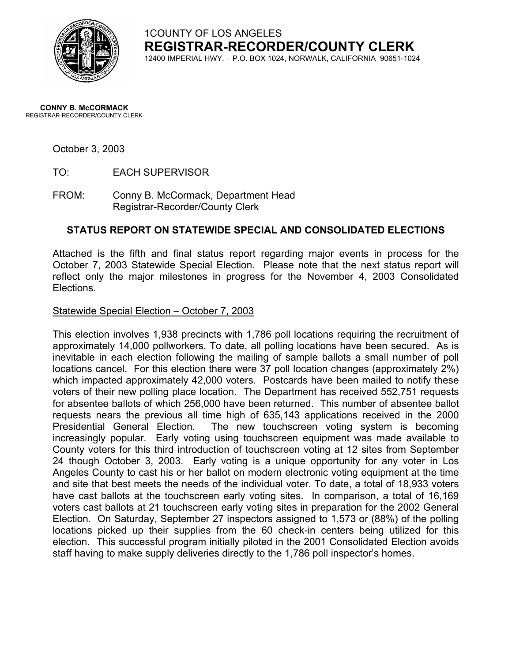

1COUNTY OF LOS ANGELES **REGISTRAR-RECORDER/COUNTY CLERK** 12400 IMPERIAL HWY. – P.O. BOX 1024, NORWALK, CALIFORNIA 90651-1024

#### **CONNY B. McCORMACK** REGISTRAR-RECORDER/COUNTY CLERK

## October 3, 2003

TO: EACH SUPERVISOR

FROM: Conny B. McCormack, Department Head Registrar-Recorder/County Clerk

# **STATUS REPORT ON STATEWIDE SPECIAL AND CONSOLIDATED ELECTIONS**

Attached is the fifth and final status report regarding major events in process for the October 7, 2003 Statewide Special Election. Please note that the next status report will reflect only the major milestones in progress for the November 4, 2003 Consolidated Elections.

## Statewide Special Election – October 7, 2003

This election involves 1,938 precincts with 1,786 poll locations requiring the recruitment of approximately 14,000 pollworkers. To date, all polling locations have been secured. As is inevitable in each election following the mailing of sample ballots a small number of poll locations cancel. For this election there were 37 poll location changes (approximately 2%) which impacted approximately 42,000 voters. Postcards have been mailed to notify these voters of their new polling place location. The Department has received 552,751 requests for absentee ballots of which 256,000 have been returned. This number of absentee ballot requests nears the previous all time high of 635,143 applications received in the 2000 Presidential General Election. The new touchscreen voting system is becoming increasingly popular. Early voting using touchscreen equipment was made available to County voters for this third introduction of touchscreen voting at 12 sites from September 24 though October 3, 2003. Early voting is a unique opportunity for any voter in Los Angeles County to cast his or her ballot on modern electronic voting equipment at the time and site that best meets the needs of the individual voter. To date, a total of 18,933 voters have cast ballots at the touchscreen early voting sites. In comparison, a total of 16,169 voters cast ballots at 21 touchscreen early voting sites in preparation for the 2002 General Election. On Saturday, September 27 inspectors assigned to 1,573 or (88%) of the polling locations picked up their supplies from the 60 check-in centers being utilized for this election. This successful program initially piloted in the 2001 Consolidated Election avoids staff having to make supply deliveries directly to the 1,786 poll inspector's homes.